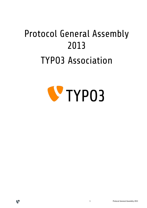# Protocol General Assembly 2013 TYPO3 Association



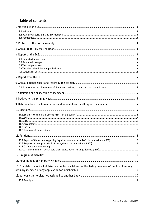# Table of contents

V

| 14. Complaints about administrative bodies, decisions on dismissing members of the board, or any |  |
|--------------------------------------------------------------------------------------------------|--|
|                                                                                                  |  |
|                                                                                                  |  |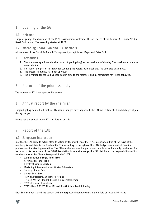# 1 Opening of the GA

## 1.1. Welcome

Jürgen Egeling, the chairman of the TYPO3 Association, welcomes the attendees at the General Assembly 2013 in Basel, Switzerland. The assembly started at 14:00.

# 1.2. Attending Board, EAB and BCC members

All members of the Board, EAB and BCC are present, except Robert Meyer and Peter Pröll.

### 1.3. Formalities

- 1. The members appointed the chairman (Jürgen Egeling) as the president of the day. The president of the day opens the GA.
- 2. Election of the person in charge for counting the votes: Jochen Weiland. The vote was unanimous.
- 3. The presented agenda has been approved.
- 4. The invitation for the GA has been sent in time to the members and all formalities have been followed.

# 2 Protocol of the prior assembly

The protocol of 2012 was approved in unison.

# 3 Annual report by the chairman

Jürgen Egeling pointed out that in 2012 many changes have happened. The EAB was established and did a great job during the year.

Please see the annual report 2012 for further details.

# 4 Report of the EAB

#### 4.1. Jumpstart into action

In 2012, the EAB came to action after its voting by the members of the TYPO3 Association. One of the tasks of this new body is to distribute the funds of the T3A, according to the bylaws. The 2012 budget was inherited from its predecessor: the steering committee. The EAB members are working on a non-paid basis and are only reimbursed for travel costs. As the actions of the TYPO3 Association have a wide range, the EAB distributed the responsibilities of its members in so called "field-of-responsibilities" (FOR).

- Administration & Legal: Peter Pröll
- Certification: Peter Pröll
- Events: Olivier Dobberkau
- Marketing & Communication: Olivier Dobberkau
- Security: Jonas Felix
- Server: Peter Pröll
- TER/PSL/DocTeam: Jan-Hendrik Heuing
- TYPO3 CMS: Jan-Hendrik Heuing & Olivier Dobberkau
- TYPO3 Extbase: Jonas Felix
- TYPO3 Neos & TYPO3 Flow: Michael Stucki & Jan-Hendrik Heuing

Each EAB member started the contact with the respective budget owners in their field of responsibility and

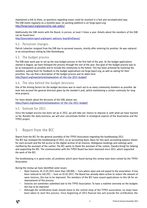maintained a link to them, so questions regarding issues could be resolved in a fast and uncomplicated way. The EAB meets regularly on a monthly base. Its working platform is on forge.typo3.org: <http://forge.typo3.org/projects/t3a-eab-public/>

Additionally the EAB meets with the Board, in person, at least 3 times a year. Details about the members of the EAB can be found here:

<http://association.typo3.org/expert-advisory-board/ref/assoc/>

## 4.2. Personnel changes

Patrick Lobacher resigned from the EAB due to personal reasons, shortly after entering his position. He was replaced in an extraordinary voting by Eike Diestelkamp.

### 4.3. The budget process

The EAB main work was to set up the new budget process in the first half of the year. As the budget applications started in August, we have followed the process through the rest of the year. One goal of the budget process was to be as transparent as possible and to include the community to the fullest. This has been achieved by involving the members, asking them for feedback to the budget applications via forge.typo3.org, as well as asking for their priorities. You can find a description of the budget process and its dates here: <http://typo3.org/news/article/explanation-of-the-t3a-2013-budget/>

## 4.4. The idea behind the budget decisions

One of the driving factors for the budget decisions was to reach out to as many community members as possible. We took into account the general direction given by the member's poll, whilst maintaining a certain continuity for long term projects.

For more details about the decisions of the EAB, please see: <https://typo3.org/news/article/explanation-of-the-t3a-2013-budget/>

### 4.5. Outlook for 2013

Since the budget process has been set up in 2012, we will take our chance to improve it, with what we have learned so far. Besides the daily business, we will also concentrate further in strategical aspects of the Association and the TYPO3 project.

# 5 Report from the BCC

Report from the BCC for the general assembly of the TYPO3 Association regarding the bookkeeping 2012. The BCC has reviewed the bookkeeping of 2012, on an accounting basis. Basis for this were accounting balance sheets for each account and the full access to the digital archive of all invoices. Ambiguous bookings and namings were clarified by the assistant of the cashier. The BCC wants to thank the assistant of the cashier, (Sandra Krieg) for helping and supporting the BCC. The communication with the TYPO3 Board has been improved since 2011, which supported the work of the BCC:

The bookkeeping is in good order, all problems which were found during this review have been solved by the TYPO3 Association.

During the review we have identified some issues:

- Open Invoices: At 21.01.2013 more than 190.000,-- Euro where open and not payed to the association. It has been reduced to 146.297,-- Euro on 01.02.2013. The Board has already taken action to reduce the amount of open invoices, this has to be improved. The members of the BCC have issued applications to this GA for an improvement of this process
- Invoices are sometimes submitted late to the TYPO3 Association. To have a realtime overview on the budgets this has to be improved
- Although the certification team should move to the central shop of the TYPO3 association, no steps have been taken to start this process. Since beginning of 2013 Pearson Vue will provide the certification, the

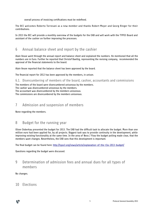overall process of invoicing certifications must be redefined.

The BCC welcomes Roberto Torresani as a new member and thanks Robert Meyer and Georg Ringer for their contributions.

In 2013 the BCC will provide a monthly overview of the budgets for the EAB and will work with the TYPO3 Board and assistant of the cashier on further improving the processes.

# 6 Annual balance sheet and report by the cashier

Alain Veuve went through the annual report and balance sheet and explained the numbers. He mentioned that all the numbers are in Euro. Further he reported that Christof Baettig, representing the revising company, recommended the approval of the financial statements to the board.

Alain Veuve reported that the balance sheet has been approved by the board.

The financial report for 2012 has been approved by the members, in unison.

### 6.1. Disencumbering of members of the board, cashier, accountants and commissions

The members of the board were disencumbered unisonous by the members. The cashier was disencumbered unisonous by the members.

The accountant was disencumbered by the members unisonous.

The commissions are disencumbered by the members unisonous.

# 7 Admission and suspension of members

None regarding the members.

# 8 Budget for the running year

Oliver Doberkau presented the budget for 2013. The EAB had the difficult task to allocate the budget. More than one million euro had been applied for, by all projects. Biggest task was to provide continuity in the development, while improving existing functionality at the same time. In the area of Neos / Flow the budget polling made clear, that the members want changes. Nevertheless, the EAB sees that this development is important.

The final budget can be found here:<http://typo3.org/news/article/explanation-of-the-t3a-2013-budget/>

Questions regarding the budget were discussed.

# 9 Determination of admission fees and annual dues for all types of members

#### No changes.

# 10 Elections

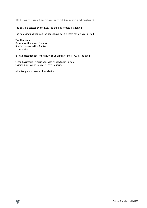# 10.1. Board (Vice Chairman, second Assessor and cashier)

The Board is elected by the EAB. The EAB has 6 votes in addition.

The following positions on the board have been elected for a 2-year period:

Vice Chairmen: Ric van Westhreenen – 3 votes Dominik Stankowski – 2 votes 1 abstention

Ric van Westhreenen is the new Vice Chairmen of the TYPO3 Association.

Second Assessor: Frederic Gaus was re-elected in unison. Cashier: Alain Veuve was re-elected in unison.

All voted persons accept their election.

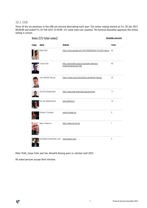#### 10.2. EAB

Three of the six positions in the EAB are elected alternating each year. The online voting started on Fri, 18 Jan 2013 00:00:00 and ended Fri, 01 Feb 2013 23:59:00. 172 valid votes are counted. The General Assembly approves the online voting in unison.

|       | Votes (172 total votes):                   | <b>Show/hide comments</b>                                               |              |
|-------|--------------------------------------------|-------------------------------------------------------------------------|--------------|
| Image | Name                                       | Website                                                                 | <b>Votes</b> |
|       | Peter Pröll                                | https://plus.google.com/104739556363011414201/about                     | 45           |
|       | Jonas Felix                                | http://association.typo3.org/expert-advisory-<br>board/ref/assoc/#c1298 | 40           |
|       | Jan-Hendrik Heuing                         | https://www.xing.com/profile/JanHendrik_Heuing                          | 33           |
|       | Dominik Stankowski                         | http://www.web-essentials.asia/dominik/                                 | 17           |
|       | Ric van Westhreenen                        | www.alternet.nl                                                         | 16           |
|       | Roberto Torresani                          | www.torresani.eu                                                        | 9            |
|       | Marco Klawonn                              | http://www.hmmh.de                                                      | 7            |
|       | Hrishikesh Shashikant Lele www.lelesys.com |                                                                         | 5            |

Peter Pröll, Jonas Felix and Jan-Hendrik Heuing were re-elected until 2015.

All voted persons accept their election.

V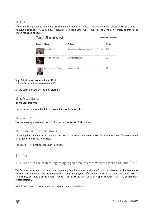#### 10.3. BCC

Two of the four positions in the BCC are elected alternating each year. The online voting started at Fri, 18 Jan 2013 00:00:00 and ended Fri, 01 Feb 2013 23:59:00. 173 valid votes were counted. The General Assembly approves the online voting unisonous.

**Show/hide comments** 

| ımaqe | Name                 | Website                                   | Jotes |
|-------|----------------------|-------------------------------------------|-------|
|       | Ingo Schmitt         | https://www.xing.com/profile/Ingo_Schmitt | 109   |
|       | Roberto Torresani    | www.torresani.eu                          | 30    |
|       | Ove Hansgeorg Franck | www.e-net.in                              | 25    |

Ingo Schmitt was re-elected until 2015. Roberto Torresani was elected until 2015.

All the voted persons accept their election.

#### 10.4. Accountants

No changes this year.

The members approved the BDO as accountants with 1 abstention.

Votes (173 total votes):

#### 10.5. Revisor

The members approved and the board approved the Revisor 1 abstention.

#### 10.6. Members of Commissions

Jürgen Egeling announced a change in the lead of the event committee. Volker Graubaum succeeds Thomas Hempel as leader of the event committee.

The Board elected Volker Graubaum in unison.

# 11 Petitions

## 11.1. Report of the cashier regarding "aged accounts receivables" (Jochen Weiland / BCC)

The BCC desires a report of the cashier regarding "aged accounts receivables" (Altersgliederung der Forderungen) showing which invoices (e.g. membership fees) are overdue 3/6/9/12/24 months. What is the collection status (written reminders, exclusion of members)? What is going to happen with the open invoices that are considered "uncollectable"?.

Alain Veuve shows a current report of "aged accounts receivables":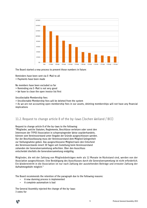

The Board started a new process to prevent those numbers in future:

Reminders have been sent via E-Mail to all > Payments have been made

No members have been excluded so far

- > Reminding via E-Mail is not very good
- > We have to clean the open invoice list first

#### Uncollectable Membership fees

> Uncollectable Membership fees will be deleted from the system

> As we are not accounting open membership fees in our assets, deleting memberships will not have any financial implications

### 11.2. Request to change article 8 of the by-laws (Jochen Weiland / BCC)

Request to change article 8 of the by-laws to the following: "Mitglieder, welche Statuten, Reglemente, Beschlüsse verletzen oder sonst den Interessen der TYPO3 Association in schwerwiegender Weise zuwiderhandeln, können vom Vereinsvorstand unter Angabe der Gründe ausgeschlossen werden. Vor der Beschlussfassung muss der Vereinsvorstand dem Mitglied Gelegenheit zur Stellungnahme geben. Das ausgeschlossene Mitglied kann den Entscheid des Vereinsvorstands innert 30 Tagen seit Zustellung beim Vereinsvorstand zuhanden der Generalversammlung anfechten. Über den Ausschluss entscheidet diesfalls die Generalversammlung endgültig.

Mitglieder, die mit der Zahlung von Mitgliedsbeiträgen mehr als 12 Monate im Rückstand sind, werden von der Association ausgeschlossen. Eine Bestätigung des Ausschlusses durch die Generalversammlung ist nicht erforderlich. Ein Wiedereintritt in die Association ist nur nach Zahlung der ausstehenden Beiträge und erneuter Zahlung der Aufnahmegebühr möglich."

The Board recommends the retention of the paragraph due to the following reasons:

- A new dunning process is implemented
- A complete automatism is bad

The General Assembly rejected the change of the by-laws: 3 votes for

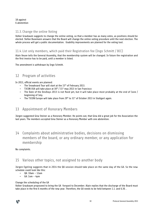18 against 6 abstention

#### 11.3. Change the online Voting

Volker Graubaum suggests to change the online voting, so that a member has as many votes, as positions should be elected. Stefan Busemann answers that the Board will change the online voting procedure until the next election. The whole process will get a public documentation. Usability improvements are planned for the voting tool.

## 11.4. List only members, which paid their Registration fee (Ingo Schmitt / BCC)

Alain Veuve tells the General Assembly, that the membership system will be changed. In future the registration and the first invoice has to be paid, until a member is listed.

The amendment is withdrawn by Ingo Schmitt.

# 12 Program of activities

In 2013, official events are planned:

- The Snowboard Tour will start at the 15<sup>th</sup> of February 2013.
- T3CON USA will take place at  $30<sup>th</sup> / 31<sup>st</sup>$  may 2013 in San Francisco
- The Date of the DevDays 2013 is not fixed yet, but it will take place most probably at the end of June / beginning of July.
- The T3CON Europe will take place from  $29<sup>th</sup>$  to  $31<sup>st</sup>$  of October 2013 in Stuttgart again.

# 13 Appointment of Honorary Members

Jürgen suggested Gina Steiner as a Honorary Member. He points out, that Gina did a great job for the Association the last years. The members accepted Gina Steiner as a Honorary Member with one abstention.

14 Complaints about administrative bodies, decisions on dismissing members of the board, or any ordinary member, or any application for membership

No complaints.

# 15 Various other topics, not assigned to another body

Jürgen Egeling suggests that in 2014 the QA session should take place on the same day of the GA. So the new schedule could look like this:

- QA: 10am 12am
- $\cdot$  GA: 1om  $-$  4pm

#### Change the scheduling of the GA

Volker Graubaum proposeed to bring the GA forward to December. Alain replies that the discharge of the Board must take place in the first 6 months of the new year. Therefore, the GA needs to be held between 1.1. and 6.30. .